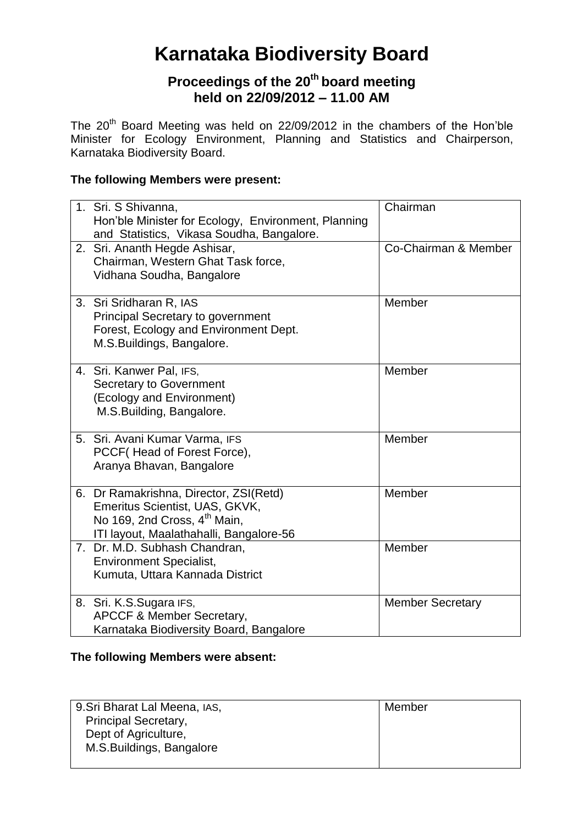# **Karnataka Biodiversity Board**

# **Proceedings of the 20th board meeting held on 22/09/2012 – 11.00 AM**

The  $20<sup>th</sup>$  Board Meeting was held on 22/09/2012 in the chambers of the Hon'ble Minister for Ecology Environment, Planning and Statistics and Chairperson, Karnataka Biodiversity Board.

# **The following Members were present:**

| 1. Sri. S Shivanna,<br>Hon'ble Minister for Ecology, Environment, Planning<br>and Statistics, Vikasa Soudha, Bangalore.                                         | Chairman                |
|-----------------------------------------------------------------------------------------------------------------------------------------------------------------|-------------------------|
| 2. Sri. Ananth Hegde Ashisar,<br>Chairman, Western Ghat Task force,<br>Vidhana Soudha, Bangalore                                                                | Co-Chairman & Member    |
| 3. Sri Sridharan R, IAS<br><b>Principal Secretary to government</b><br>Forest, Ecology and Environment Dept.<br>M.S.Buildings, Bangalore.                       | Member                  |
| 4. Sri. Kanwer Pal, IFS,<br><b>Secretary to Government</b><br>(Ecology and Environment)<br>M.S.Building, Bangalore.                                             | Member                  |
| 5. Sri. Avani Kumar Varma, IFS<br>PCCF (Head of Forest Force),<br>Aranya Bhavan, Bangalore                                                                      | Member                  |
| 6. Dr Ramakrishna, Director, ZSI(Retd)<br>Emeritus Scientist, UAS, GKVK,<br>No 169, 2nd Cross, 4 <sup>th</sup> Main,<br>ITI layout, Maalathahalli, Bangalore-56 | Member                  |
| 7. Dr. M.D. Subhash Chandran,<br><b>Environment Specialist,</b><br>Kumuta, Uttara Kannada District                                                              | Member                  |
| 8. Sri. K.S.Sugara IFS,<br><b>APCCF &amp; Member Secretary,</b><br>Karnataka Biodiversity Board, Bangalore                                                      | <b>Member Secretary</b> |

#### **The following Members were absent:**

| 9. Sri Bharat Lal Meena, IAS, | Member |
|-------------------------------|--------|
| <b>Principal Secretary,</b>   |        |
| Dept of Agriculture,          |        |
| M.S.Buildings, Bangalore      |        |
|                               |        |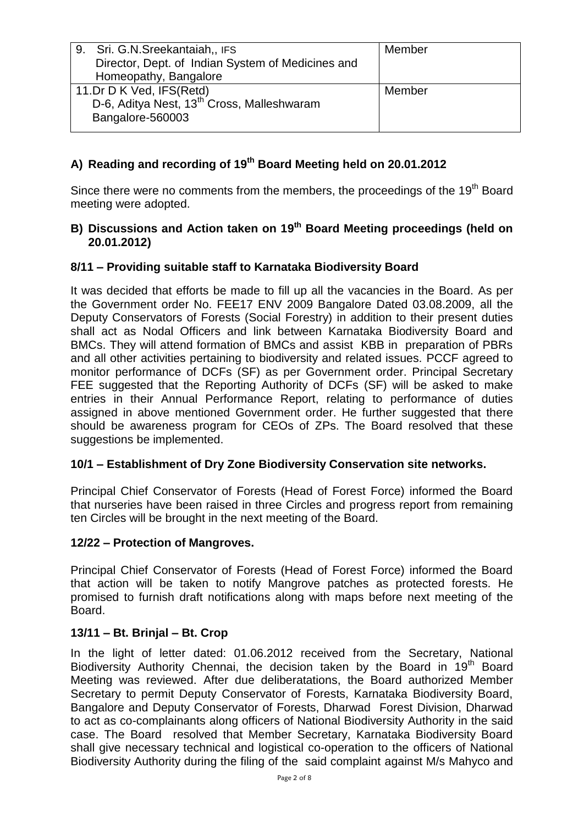| 9. Sri. G.N. Sreekantaiah,, IFS<br>Director, Dept. of Indian System of Medicines and | Member |
|--------------------------------------------------------------------------------------|--------|
| Homeopathy, Bangalore                                                                |        |
| 11.Dr D K Ved, IFS(Retd)                                                             | Member |
| D-6, Aditya Nest, 13 <sup>th</sup> Cross, Malleshwaram                               |        |
| Bangalore-560003                                                                     |        |

# **A) Reading and recording of 19th Board Meeting held on 20.01.2012**

Since there were no comments from the members, the proceedings of the  $19<sup>th</sup>$  Board meeting were adopted.

#### B) Discussions and Action taken on 19<sup>th</sup> Board Meeting proceedings (held on **20.01.2012)**

## **8/11 – Providing suitable staff to Karnataka Biodiversity Board**

It was decided that efforts be made to fill up all the vacancies in the Board. As per the Government order No. FEE17 ENV 2009 Bangalore Dated 03.08.2009, all the Deputy Conservators of Forests (Social Forestry) in addition to their present duties shall act as Nodal Officers and link between Karnataka Biodiversity Board and BMCs. They will attend formation of BMCs and assist KBB in preparation of PBRs and all other activities pertaining to biodiversity and related issues. PCCF agreed to monitor performance of DCFs (SF) as per Government order. Principal Secretary FEE suggested that the Reporting Authority of DCFs (SF) will be asked to make entries in their Annual Performance Report, relating to performance of duties assigned in above mentioned Government order. He further suggested that there should be awareness program for CEOs of ZPs. The Board resolved that these suggestions be implemented.

#### **10/1 – Establishment of Dry Zone Biodiversity Conservation site networks.**

Principal Chief Conservator of Forests (Head of Forest Force) informed the Board that nurseries have been raised in three Circles and progress report from remaining ten Circles will be brought in the next meeting of the Board.

#### **12/22 – Protection of Mangroves.**

Principal Chief Conservator of Forests (Head of Forest Force) informed the Board that action will be taken to notify Mangrove patches as protected forests. He promised to furnish draft notifications along with maps before next meeting of the Board.

#### **13/11 – Bt. Brinjal – Bt. Crop**

In the light of letter dated: 01.06.2012 received from the Secretary, National Biodiversity Authority Chennai, the decision taken by the Board in 19<sup>th</sup> Board Meeting was reviewed. After due deliberatations, the Board authorized Member Secretary to permit Deputy Conservator of Forests, Karnataka Biodiversity Board, Bangalore and Deputy Conservator of Forests, Dharwad Forest Division, Dharwad to act as co-complainants along officers of National Biodiversity Authority in the said case. The Board resolved that Member Secretary, Karnataka Biodiversity Board shall give necessary technical and logistical co-operation to the officers of National Biodiversity Authority during the filing of the said complaint against M/s Mahyco and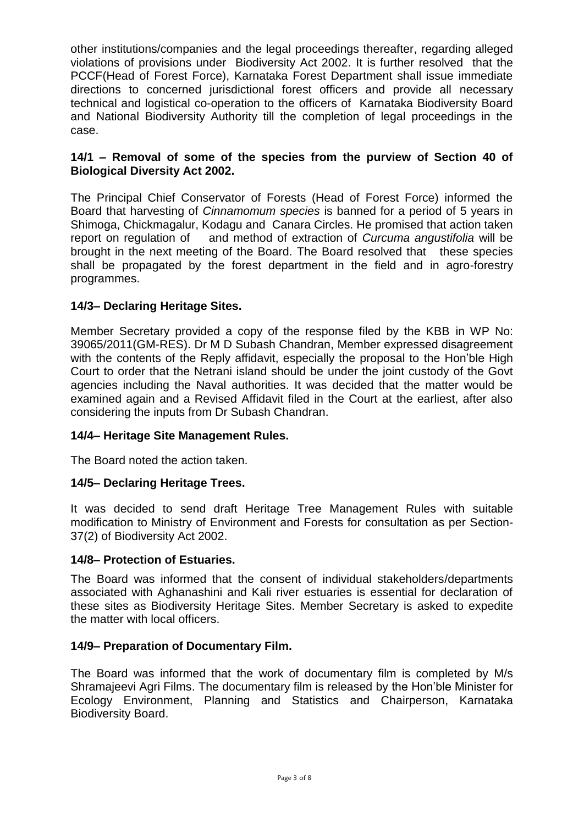other institutions/companies and the legal proceedings thereafter, regarding alleged violations of provisions under Biodiversity Act 2002. It is further resolved that the PCCF(Head of Forest Force), Karnataka Forest Department shall issue immediate directions to concerned jurisdictional forest officers and provide all necessary technical and logistical co-operation to the officers of Karnataka Biodiversity Board and National Biodiversity Authority till the completion of legal proceedings in the case.

#### **14/1 – Removal of some of the species from the purview of Section 40 of Biological Diversity Act 2002.**

The Principal Chief Conservator of Forests (Head of Forest Force) informed the Board that harvesting of *Cinnamomum species* is banned for a period of 5 years in Shimoga, Chickmagalur, Kodagu and Canara Circles. He promised that action taken report on regulation of and method of extraction of *Curcuma angustifolia* will be brought in the next meeting of the Board. The Board resolved that these species shall be propagated by the forest department in the field and in agro-forestry programmes.

# **14/3– Declaring Heritage Sites.**

Member Secretary provided a copy of the response filed by the KBB in WP No: 39065/2011(GM-RES). Dr M D Subash Chandran, Member expressed disagreement with the contents of the Reply affidavit, especially the proposal to the Hon'ble High Court to order that the Netrani island should be under the joint custody of the Govt agencies including the Naval authorities. It was decided that the matter would be examined again and a Revised Affidavit filed in the Court at the earliest, after also considering the inputs from Dr Subash Chandran.

#### **14/4– Heritage Site Management Rules.**

The Board noted the action taken.

#### **14/5– Declaring Heritage Trees.**

It was decided to send draft Heritage Tree Management Rules with suitable modification to Ministry of Environment and Forests for consultation as per Section-37(2) of Biodiversity Act 2002.

#### **14/8– Protection of Estuaries.**

The Board was informed that the consent of individual stakeholders/departments associated with Aghanashini and Kali river estuaries is essential for declaration of these sites as Biodiversity Heritage Sites. Member Secretary is asked to expedite the matter with local officers.

#### **14/9– Preparation of Documentary Film.**

The Board was informed that the work of documentary film is completed by M/s Shramajeevi Agri Films. The documentary film is released by the Hon'ble Minister for Ecology Environment, Planning and Statistics and Chairperson, Karnataka Biodiversity Board.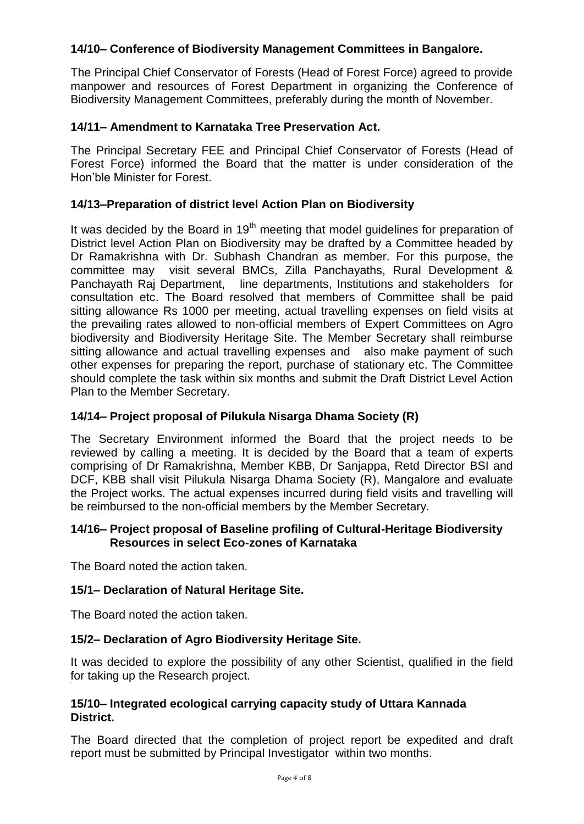# **14/10– Conference of Biodiversity Management Committees in Bangalore.**

The Principal Chief Conservator of Forests (Head of Forest Force) agreed to provide manpower and resources of Forest Department in organizing the Conference of Biodiversity Management Committees, preferably during the month of November.

#### **14/11– Amendment to Karnataka Tree Preservation Act.**

The Principal Secretary FEE and Principal Chief Conservator of Forests (Head of Forest Force) informed the Board that the matter is under consideration of the Hon'ble Minister for Forest.

#### **14/13–Preparation of district level Action Plan on Biodiversity**

It was decided by the Board in  $19<sup>th</sup>$  meeting that model guidelines for preparation of District level Action Plan on Biodiversity may be drafted by a Committee headed by Dr Ramakrishna with Dr. Subhash Chandran as member. For this purpose, the committee may visit several BMCs, Zilla Panchayaths, Rural Development & Panchayath Raj Department, line departments, Institutions and stakeholders for consultation etc. The Board resolved that members of Committee shall be paid sitting allowance Rs 1000 per meeting, actual travelling expenses on field visits at the prevailing rates allowed to non-official members of Expert Committees on Agro biodiversity and Biodiversity Heritage Site. The Member Secretary shall reimburse sitting allowance and actual travelling expenses and also make payment of such other expenses for preparing the report, purchase of stationary etc. The Committee should complete the task within six months and submit the Draft District Level Action Plan to the Member Secretary.

# **14/14– Project proposal of Pilukula Nisarga Dhama Society (R)**

The Secretary Environment informed the Board that the project needs to be reviewed by calling a meeting. It is decided by the Board that a team of experts comprising of Dr Ramakrishna, Member KBB, Dr Sanjappa, Retd Director BSI and DCF, KBB shall visit Pilukula Nisarga Dhama Society (R), Mangalore and evaluate the Project works. The actual expenses incurred during field visits and travelling will be reimbursed to the non-official members by the Member Secretary.

#### **14/16– Project proposal of Baseline profiling of Cultural-Heritage Biodiversity Resources in select Eco-zones of Karnataka**

The Board noted the action taken.

#### **15/1– Declaration of Natural Heritage Site.**

The Board noted the action taken.

#### **15/2– Declaration of Agro Biodiversity Heritage Site.**

It was decided to explore the possibility of any other Scientist, qualified in the field for taking up the Research project. **[[** 

#### **15/10– Integrated ecological carrying capacity study of Uttara Kannada District.**

The Board directed that the completion of project report be expedited and draft report must be submitted by Principal Investigator within two months.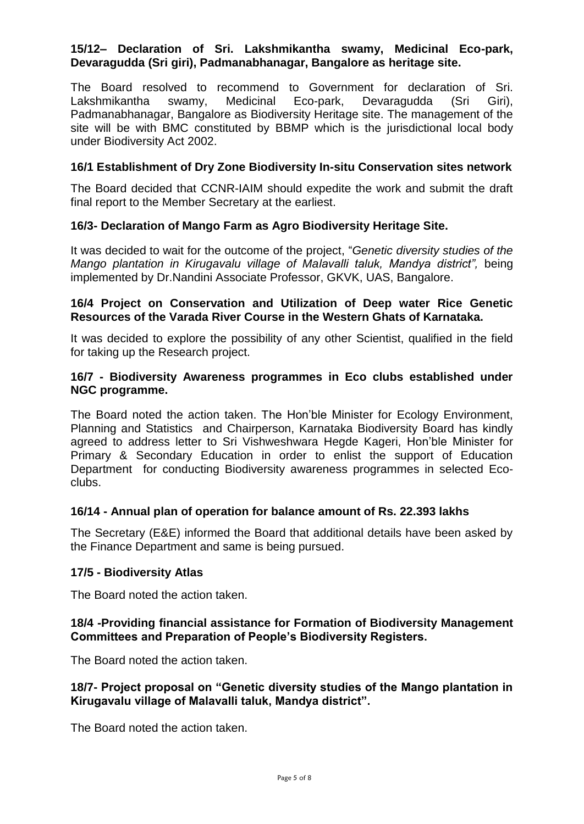#### **15/12– Declaration of Sri. Lakshmikantha swamy, Medicinal Eco-park, Devaragudda (Sri giri), Padmanabhanagar, Bangalore as heritage site.**

The Board resolved to recommend to Government for declaration of Sri. Lakshmikantha swamy, Medicinal Eco-park, Devaragudda (Sri Giri), Padmanabhanagar, Bangalore as Biodiversity Heritage site. The management of the site will be with BMC constituted by BBMP which is the jurisdictional local body under Biodiversity Act 2002.

#### **16/1 Establishment of Dry Zone Biodiversity In-situ Conservation sites network**

The Board decided that CCNR-IAIM should expedite the work and submit the draft final report to the Member Secretary at the earliest.

#### **16/3- Declaration of Mango Farm as Agro Biodiversity Heritage Site.**

It was decided to wait for the outcome of the project, "*Genetic diversity studies of the Mango plantation in Kirugavalu village of Malavalli taluk, Mandya district",* being implemented by Dr.Nandini Associate Professor, GKVK, UAS, Bangalore.

#### **16/4 Project on Conservation and Utilization of Deep water Rice Genetic Resources of the Varada River Course in the Western Ghats of Karnataka.**

It was decided to explore the possibility of any other Scientist, qualified in the field for taking up the Research project.

#### **16/7 - Biodiversity Awareness programmes in Eco clubs established under NGC programme.**

The Board noted the action taken. The Hon'ble Minister for Ecology Environment, Planning and Statistics and Chairperson, Karnataka Biodiversity Board has kindly agreed to address letter to Sri Vishweshwara Hegde Kageri, Hon'ble Minister for Primary & Secondary Education in order to enlist the support of Education Department for conducting Biodiversity awareness programmes in selected Ecoclubs.

#### **16/14 - Annual plan of operation for balance amount of Rs. 22.393 lakhs**

The Secretary (E&E) informed the Board that additional details have been asked by the Finance Department and same is being pursued.

#### **17/5 - Biodiversity Atlas**

The Board noted the action taken.

#### **18/4 -Providing financial assistance for Formation of Biodiversity Management Committees and Preparation of People's Biodiversity Registers.**

The Board noted the action taken.

#### **18/7- Project proposal on "Genetic diversity studies of the Mango plantation in Kirugavalu village of Malavalli taluk, Mandya district".**

The Board noted the action taken.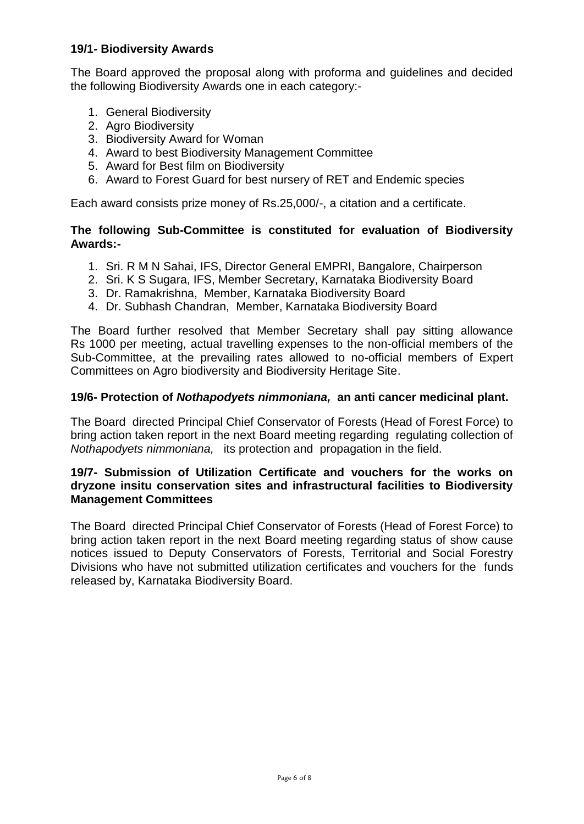#### **19/1- Biodiversity Awards**

The Board approved the proposal along with proforma and guidelines and decided the following Biodiversity Awards one in each category:-

- 1. General Biodiversity
- 2. Agro Biodiversity
- 3. Biodiversity Award for Woman
- 4. Award to best Biodiversity Management Committee
- 5. Award for Best film on Biodiversity
- 6. Award to Forest Guard for best nursery of RET and Endemic species

Each award consists prize money of Rs.25,000/-, a citation and a certificate.

#### **The following Sub-Committee is constituted for evaluation of Biodiversity Awards:-**

- 1. Sri. R M N Sahai, IFS, Director General EMPRI, Bangalore, Chairperson
- 2. Sri. K S Sugara, IFS, Member Secretary, Karnataka Biodiversity Board
- 3. Dr. Ramakrishna, Member, Karnataka Biodiversity Board
- 4. Dr. Subhash Chandran, Member, Karnataka Biodiversity Board

The Board further resolved that Member Secretary shall pay sitting allowance Rs 1000 per meeting, actual travelling expenses to the non-official members of the Sub-Committee, at the prevailing rates allowed to no-official members of Expert Committees on Agro biodiversity and Biodiversity Heritage Site.

#### **19/6- Protection of** *Nothapodyets nimmoniana,* **an anti cancer medicinal plant.**

The Board directed Principal Chief Conservator of Forests (Head of Forest Force) to bring action taken report in the next Board meeting regarding regulating collection of *Nothapodyets nimmoniana,* its protection and propagation in the field.

#### **19/7- Submission of Utilization Certificate and vouchers for the works on dryzone insitu conservation sites and infrastructural facilities to Biodiversity Management Committees**

The Board directed Principal Chief Conservator of Forests (Head of Forest Force) to bring action taken report in the next Board meeting regarding status of show cause notices issued to Deputy Conservators of Forests, Territorial and Social Forestry Divisions who have not submitted utilization certificates and vouchers for the funds released by, Karnataka Biodiversity Board.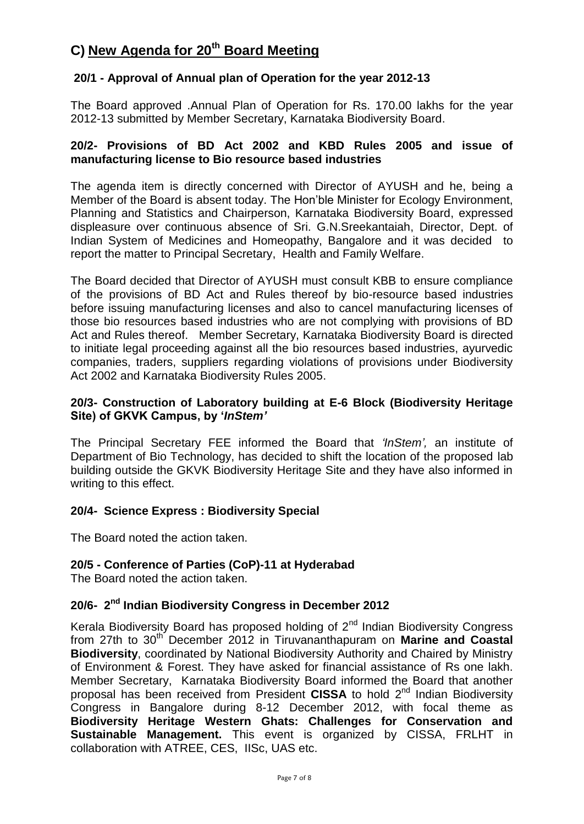# **C) New Agenda for 20th Board Meeting**

## **20/1 - Approval of Annual plan of Operation for the year 2012-13**

The Board approved .Annual Plan of Operation for Rs. 170.00 lakhs for the year 2012-13 submitted by Member Secretary, Karnataka Biodiversity Board.

#### **20/2- Provisions of BD Act 2002 and KBD Rules 2005 and issue of manufacturing license to Bio resource based industries**

The agenda item is directly concerned with Director of AYUSH and he, being a Member of the Board is absent today. The Hon'ble Minister for Ecology Environment, Planning and Statistics and Chairperson, Karnataka Biodiversity Board, expressed displeasure over continuous absence of Sri. G.N.Sreekantaiah, Director, Dept. of Indian System of Medicines and Homeopathy, Bangalore and it was decided to report the matter to Principal Secretary, Health and Family Welfare.

The Board decided that Director of AYUSH must consult KBB to ensure compliance of the provisions of BD Act and Rules thereof by bio-resource based industries before issuing manufacturing licenses and also to cancel manufacturing licenses of those bio resources based industries who are not complying with provisions of BD Act and Rules thereof. Member Secretary, Karnataka Biodiversity Board is directed to initiate legal proceeding against all the bio resources based industries, ayurvedic companies, traders, suppliers regarding violations of provisions under Biodiversity Act 2002 and Karnataka Biodiversity Rules 2005.

#### **20/3- Construction of Laboratory building at E-6 Block (Biodiversity Heritage Site) of GKVK Campus, by '***InStem'*

The Principal Secretary FEE informed the Board that *'InStem',* an institute of Department of Bio Technology, has decided to shift the location of the proposed lab building outside the GKVK Biodiversity Heritage Site and they have also informed in writing to this effect.

#### **20/4- Science Express : Biodiversity Special**

The Board noted the action taken.

#### **20/5 - Conference of Parties (CoP)-11 at Hyderabad**

The Board noted the action taken.

# **20/6- 2 nd Indian Biodiversity Congress in December 2012**

Kerala Biodiversity Board has proposed holding of  $2<sup>nd</sup>$  Indian Biodiversity Congress from 27th to 30<sup>th</sup> December 2012 in Tiruvananthapuram on **Marine and Coastal Biodiversity**, coordinated by National Biodiversity Authority and Chaired by Ministry of Environment & Forest. They have asked for financial assistance of Rs one lakh. Member Secretary, Karnataka Biodiversity Board informed the Board that another proposal has been received from President CISSA to hold 2<sup>nd</sup> Indian Biodiversity Congress in Bangalore during 8-12 December 2012, with focal theme as **Biodiversity Heritage Western Ghats: Challenges for Conservation and Sustainable Management.** This event is organized by CISSA, FRLHT in collaboration with ATREE, CES, IISc, UAS etc.